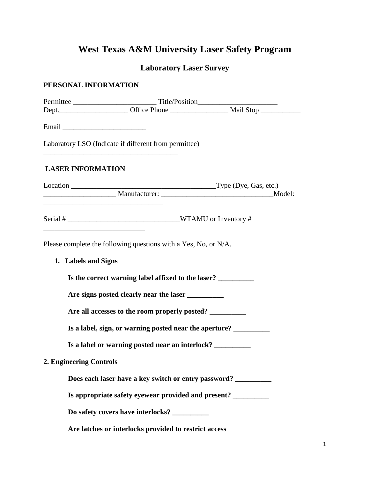## **West Texas A&M University Laser Safety Program**

## **Laboratory Laser Survey**

## **PERSONAL INFORMATION**

|                          | Laboratory LSO (Indicate if different from permittee)                                     |  |  |
|--------------------------|-------------------------------------------------------------------------------------------|--|--|
| <b>LASER INFORMATION</b> |                                                                                           |  |  |
|                          |                                                                                           |  |  |
|                          | the control of the control of the control of the control of the control of the control of |  |  |
| 1. Labels and Signs      | Please complete the following questions with a Yes, No, or N/A.                           |  |  |
|                          | Is the correct warning label affixed to the laser?                                        |  |  |
|                          | Are signs posted clearly near the laser __________                                        |  |  |
|                          | Are all accesses to the room properly posted?                                             |  |  |
|                          | Is a label, sign, or warning posted near the aperture?                                    |  |  |
|                          | Is a label or warning posted near an interlock? __________                                |  |  |
| 2. Engineering Controls  |                                                                                           |  |  |
|                          | Does each laser have a key switch or entry password?                                      |  |  |
|                          | Is appropriate safety eyewear provided and present? ________                              |  |  |
|                          | Do safety covers have interlocks?                                                         |  |  |
|                          | Are latches or interlocks provided to restrict access                                     |  |  |